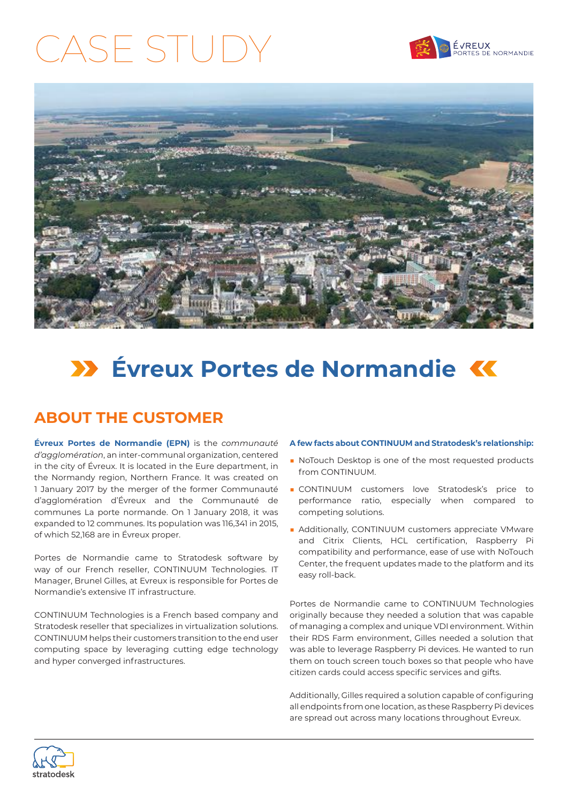## CASE STUDY





## **E**vreux Portes de Normandie K

### **ABOUT THE CUSTOMER**

**Évreux Portes de Normandie (EPN)** is the *communauté d'agglomération*, an inter-communal organization, centered in the city of Évreux. It is located in the Eure department, in the Normandy region, Northern France. It was created on 1 January 2017 by the merger of the former Communauté d'agglomération d'Évreux and the Communauté de communes La porte normande. On 1 January 2018, it was expanded to 12 communes. Its population was 116,341 in 2015, of which 52,168 are in Évreux proper.

Portes de Normandie came to Stratodesk software by way of our French reseller, CONTINUUM Technologies. IT Manager, Brunel Gilles, at Evreux is responsible for Portes de Normandie's extensive IT infrastructure.

CONTINUUM Technologies is a French based company and Stratodesk reseller that specializes in virtualization solutions. CONTINUUM helps their customers transition to the end user computing space by leveraging cutting edge technology and hyper converged infrastructures.

### **A few facts about CONTINUUM and Stratodesk's relationship:**

- NoTouch Desktop is one of the most requested products from CONTINUUM.
- CONTINUUM customers love Stratodesk's price to performance ratio, especially when compared to competing solutions.
- Additionally, CONTINUUM customers appreciate VMware and Citrix Clients, HCL certification, Raspberry Pi compatibility and performance, ease of use with NoTouch Center, the frequent updates made to the platform and its easy roll-back.

Portes de Normandie came to CONTINUUM Technologies originally because they needed a solution that was capable of managing a complex and unique VDI environment. Within their RDS Farm environment, Gilles needed a solution that was able to leverage Raspberry Pi devices. He wanted to run them on touch screen touch boxes so that people who have citizen cards could access specific services and gifts.

Additionally, Gilles required a solution capable of configuring all endpoints from one location, as these Raspberry Pi devices are spread out across many locations throughout Evreux.

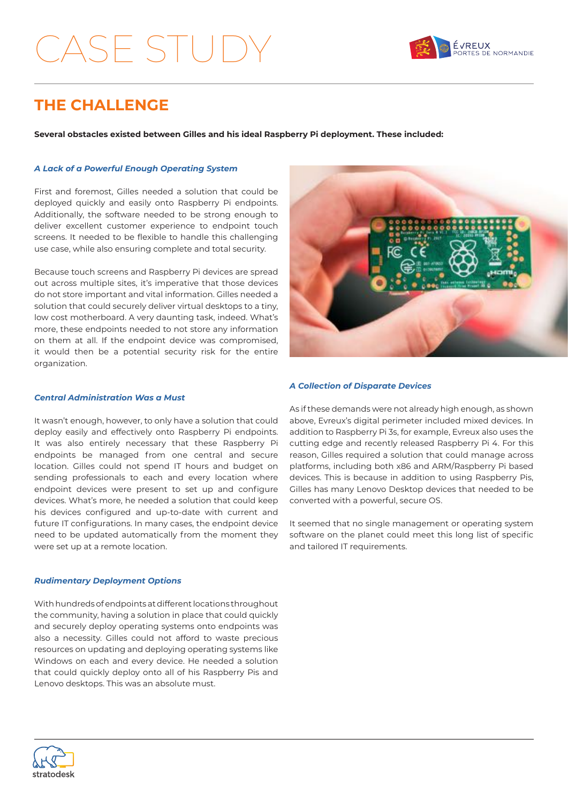## ASE STU



### **THE CHALLENGE**

**Several obstacles existed between Gilles and his ideal Raspberry Pi deployment. These included:**

### *A Lack of a Powerful Enough Operating System*

First and foremost, Gilles needed a solution that could be deployed quickly and easily onto Raspberry Pi endpoints. Additionally, the software needed to be strong enough to deliver excellent customer experience to endpoint touch screens. It needed to be flexible to handle this challenging use case, while also ensuring complete and total security.

Because touch screens and Raspberry Pi devices are spread out across multiple sites, it's imperative that those devices do not store important and vital information. Gilles needed a solution that could securely deliver virtual desktops to a tiny, low cost motherboard. A very daunting task, indeed. What's more, these endpoints needed to not store any information on them at all. If the endpoint device was compromised, it would then be a potential security risk for the entire organization.



### *Central Administration Was a Must*

It wasn't enough, however, to only have a solution that could deploy easily and effectively onto Raspberry Pi endpoints. It was also entirely necessary that these Raspberry Pi endpoints be managed from one central and secure location. Gilles could not spend IT hours and budget on sending professionals to each and every location where endpoint devices were present to set up and configure devices. What's more, he needed a solution that could keep his devices configured and up-to-date with current and future IT configurations. In many cases, the endpoint device need to be updated automatically from the moment they were set up at a remote location.

#### *Rudimentary Deployment Options*

With hundreds of endpoints at different locations throughout the community, having a solution in place that could quickly and securely deploy operating systems onto endpoints was also a necessity. Gilles could not afford to waste precious resources on updating and deploying operating systems like Windows on each and every device. He needed a solution that could quickly deploy onto all of his Raspberry Pis and Lenovo desktops. This was an absolute must.

#### *A Collection of Disparate Devices*

As if these demands were not already high enough, as shown above, Evreux's digital perimeter included mixed devices. In addition to Raspberry Pi 3s, for example, Evreux also uses the cutting edge and recently released Raspberry Pi 4. For this reason, Gilles required a solution that could manage across platforms, including both x86 and ARM/Raspberry Pi based devices. This is because in addition to using Raspberry Pis, Gilles has many Lenovo Desktop devices that needed to be converted with a powerful, secure OS.

It seemed that no single management or operating system software on the planet could meet this long list of specific and tailored IT requirements.

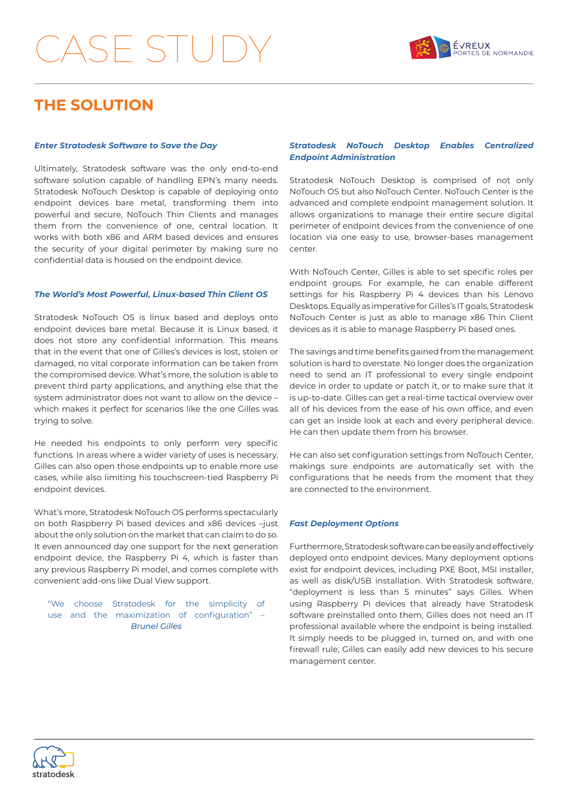## $S_F \subsetneq \cup$



### **THE SOLUTION**

#### *Enter Stratodesk Software to Save the Day*

Ultimately, Stratodesk software was the only end-to-end software solution capable of handling EPN's many needs. Stratodesk NoTouch Desktop is capable of deploying onto endpoint devices bare metal, transforming them into powerful and secure, NoTouch Thin Clients and manages them from the convenience of one, central location. It works with both x86 and ARM based devices and ensures the security of your digital perimeter by making sure no confidential data is housed on the endpoint device.

#### *The World's Most Powerful, Linux-based Thin Client OS*

Stratodesk NoTouch OS is linux based and deploys onto endpoint devices bare metal. Because it is Linux based, it does not store any confidential information. This means that in the event that one of Gilles's devices is lost, stolen or damaged, no vital corporate information can be taken from the compromised device. What's more, the solution is able to prevent third party applications, and anything else that the system administrator does not want to allow on the device – which makes it perfect for scenarios like the one Gilles was trying to solve.

He needed his endpoints to only perform very specific functions. In areas where a wider variety of uses is necessary, Gilles can also open those endpoints up to enable more use cases, while also limiting his touchscreen-tied Raspberry Pi endpoint devices.

What's more, Stratodesk NoTouch OS performs spectacularly on both Raspberry Pi based devices and x86 devices –just about the only solution on the market that can claim to do so. It even announced day one support for the next generation endpoint device, the Raspberry Pi 4, which is faster than any previous Raspberry Pi model, and comes complete with convenient add-ons like Dual View support.

"We choose Stratodesk for the simplicity of use and the maximization of configuration" – *Brunel Gilles*

### *Stratodesk NoTouch Desktop Enables Centralized Endpoint Administration*

Stratodesk NoTouch Desktop is comprised of not only NoTouch OS but also NoTouch Center. NoTouch Center is the advanced and complete endpoint management solution. It allows organizations to manage their entire secure digital perimeter of endpoint devices from the convenience of one location via one easy to use, browser-bases management center.

With NoTouch Center, Gilles is able to set specific roles per endpoint groups. For example, he can enable different settings for his Raspberry Pi 4 devices than his Lenovo Desktops. Equally as imperative for Gilles's IT goals, Stratodesk NoTouch Center is just as able to manage x86 Thin Client devices as it is able to manage Raspberry Pi based ones.

The savings and time benefits gained from the management solution is hard to overstate. No longer does the organization need to send an IT professional to every single endpoint device in order to update or patch it, or to make sure that it is up-to-date. Gilles can get a real-time tactical overview over all of his devices from the ease of his own office, and even can get an inside look at each and every peripheral device. He can then update them from his browser.

He can also set configuration settings from NoTouch Center, makings sure endpoints are automatically set with the configurations that he needs from the moment that they are connected to the environment.

#### *Fast Deployment Options*

Furthermore, Stratodesk software can be easily and effectively deployed onto endpoint devices. Many deployment options exist for endpoint devices, including PXE Boot, MSI installer, as well as disk/USB installation. With Stratodesk software, "deployment is less than 5 minutes" says Gilles. When using Raspberry Pi devices that already have Stratodesk software preinstalled onto them, Gilles does not need an IT professional available where the endpoint is being installed. It simply needs to be plugged in, turned on, and with one firewall rule, Gilles can easily add new devices to his secure management center.

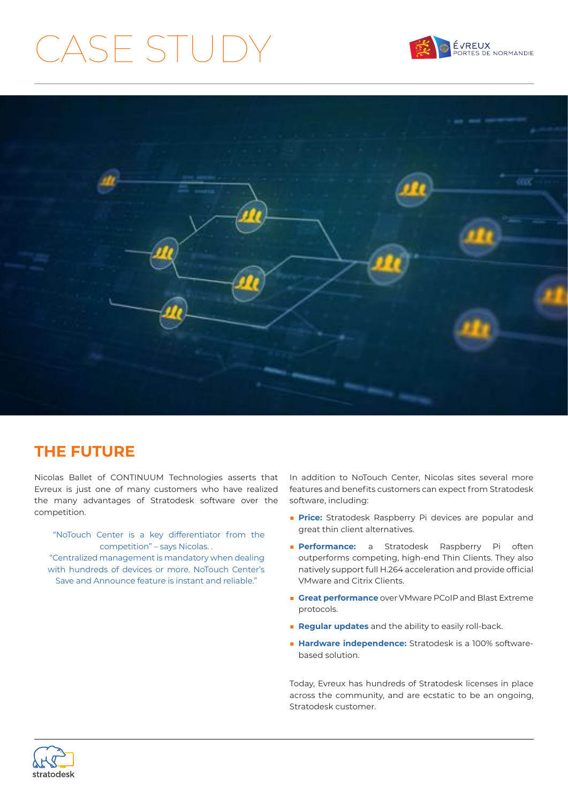# CASE STUDY





### **THE FUTURE**

Nicolas Ballet of CONTINUUM Technologies asserts that Evreux is just one of many customers who have realized the many advantages of Stratodesk software over the competition.

 "NoTouch Center is a key differentiator from the competition" – says Nicolas. . "Centralized management is mandatory when dealing with hundreds of devices or more. NoTouch Center's Save and Announce feature is instant and reliable."

In addition to NoTouch Center, Nicolas sites several more features and benefits customers can expect from Stratodesk software, including:

- **Price:** Stratodesk Raspberry Pi devices are popular and great thin client alternatives.
- **Performance:** a Stratodesk Raspberry Pi often outperforms competing, high-end Thin Clients. They also natively support full H.264 acceleration and provide official VMware and Citrix Clients.
- **Great performance** over VMware PCoIP and Blast Extreme protocols.
- **Regular updates** and the ability to easily roll-back.
- Hardware independence: Stratodesk is a 100% softwarebased solution.

Today, Evreux has hundreds of Stratodesk licenses in place across the community, and are ecstatic to be an ongoing, Stratodesk customer.